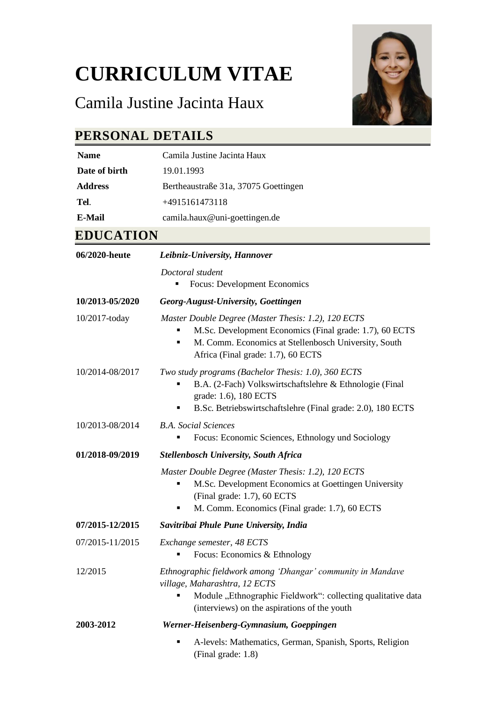# **CURRICULUM VITAE**

## Camila Justine Jacinta Haux



#### **PERSONAL DETAILS**

| <b>Name</b>    | Camila Justine Jacinta Haux          |
|----------------|--------------------------------------|
| Date of birth  | 19.01.1993                           |
| <b>Address</b> | Bertheaustraße 31a, 37075 Goettingen |
| Tel.           | +4915161473118                       |
| E-Mail         | camila.haux@uni-goettingen.de        |
|                |                                      |

#### **EDUCATION**

| 06/2020-heute   | Leibniz-University, Hannover                                                                                                                                                                                 |
|-----------------|--------------------------------------------------------------------------------------------------------------------------------------------------------------------------------------------------------------|
|                 | Doctoral student<br><b>Focus: Development Economics</b>                                                                                                                                                      |
| 10/2013-05/2020 | Georg-August-University, Goettingen                                                                                                                                                                          |
| 10/2017-today   | Master Double Degree (Master Thesis: 1.2), 120 ECTS<br>M.Sc. Development Economics (Final grade: 1.7), 60 ECTS<br>M. Comm. Economics at Stellenbosch University, South<br>Africa (Final grade: 1.7), 60 ECTS |
| 10/2014-08/2017 | Two study programs (Bachelor Thesis: 1.0), 360 ECTS<br>B.A. (2-Fach) Volkswirtschaftslehre & Ethnologie (Final<br>grade: 1.6), 180 ECTS<br>B.Sc. Betriebswirtschaftslehre (Final grade: 2.0), 180 ECTS<br>٠  |
| 10/2013-08/2014 | <b>B.A.</b> Social Sciences<br>Focus: Economic Sciences, Ethnology und Sociology                                                                                                                             |
| 01/2018-09/2019 | <b>Stellenbosch University, South Africa</b>                                                                                                                                                                 |
|                 | Master Double Degree (Master Thesis: 1.2), 120 ECTS<br>M.Sc. Development Economics at Goettingen University<br>(Final grade: 1.7), 60 ECTS<br>M. Comm. Economics (Final grade: 1.7), 60 ECTS<br>٠            |
| 07/2015-12/2015 | Savitribai Phule Pune University, India                                                                                                                                                                      |
| 07/2015-11/2015 | Exchange semester, 48 ECTS<br>Focus: Economics & Ethnology                                                                                                                                                   |
| 12/2015         | Ethnographic fieldwork among 'Dhangar' community in Mandave<br>village, Maharashtra, 12 ECTS<br>Module "Ethnographic Fieldwork": collecting qualitative data<br>(interviews) on the aspirations of the youth |
| 2003-2012       | Werner-Heisenberg-Gymnasium, Goeppingen                                                                                                                                                                      |
|                 | A-levels: Mathematics, German, Spanish, Sports, Religion<br>п<br>(Final grade: 1.8)                                                                                                                          |